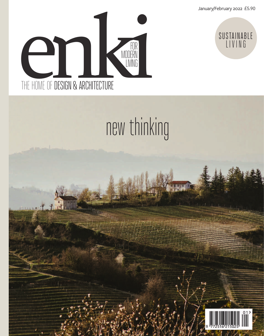January/February 2022 £5.90





## new thinking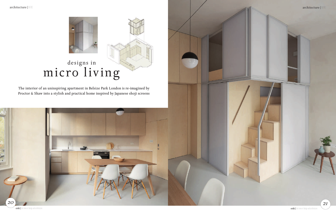The interior of an uninspiring apartment in Belsize Park London is re-imagined by Proctor & Shaw into a stylish and practical home inspired by Japanese shoji screens

## designs in micro living

architecture | NEWS